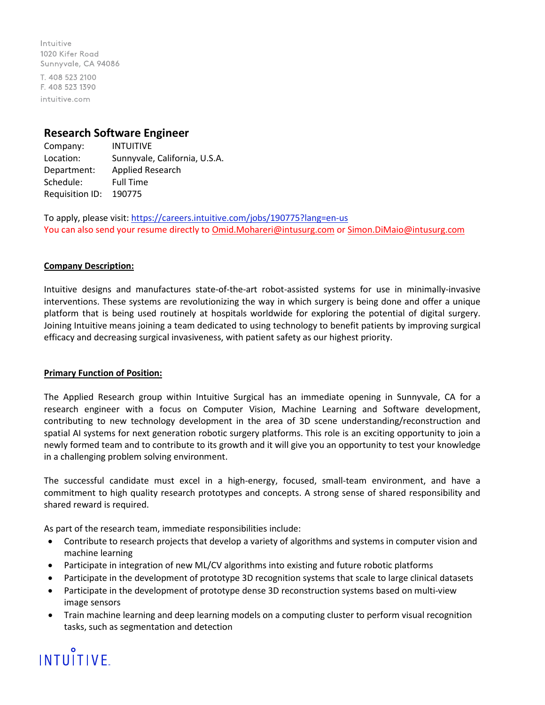Intuitive 1020 Kifer Road Sunnyvale, CA 94086 T. 408 523 2100 F. 408 523 1390 intuitive.com

## **Research Software Engineer**

Company: INTUITIVE Location: Sunnyvale, California, U.S.A. Department: Applied Research Schedule: Full Time Requisition ID: 190775

To apply, please visit: <https://careers.intuitive.com/jobs/190775?lang=en-us> You can also send your resume directly to *Omid.Mohareri@intusurg.com* o[r Simon.DiMaio@intusurg.com](mailto:Simon.DiMaio@intusurg.com)

### **Company Description:**

Intuitive designs and manufactures state-of-the-art robot-assisted systems for use in minimally-invasive interventions. These systems are revolutionizing the way in which surgery is being done and offer a unique platform that is being used routinely at hospitals worldwide for exploring the potential of digital surgery. Joining Intuitive means joining a team dedicated to using technology to benefit patients by improving surgical efficacy and decreasing surgical invasiveness, with patient safety as our highest priority.

#### **Primary Function of Position:**

The Applied Research group within Intuitive Surgical has an immediate opening in Sunnyvale, CA for a research engineer with a focus on Computer Vision, Machine Learning and Software development, contributing to new technology development in the area of 3D scene understanding/reconstruction and spatial AI systems for next generation robotic surgery platforms. This role is an exciting opportunity to join a newly formed team and to contribute to its growth and it will give you an opportunity to test your knowledge in a challenging problem solving environment.

The successful candidate must excel in a high-energy, focused, small-team environment, and have a commitment to high quality research prototypes and concepts. A strong sense of shared responsibility and shared reward is required.

As part of the research team, immediate responsibilities include:

- Contribute to research projects that develop a variety of algorithms and systems in computer vision and machine learning
- Participate in integration of new ML/CV algorithms into existing and future robotic platforms
- Participate in the development of prototype 3D recognition systems that scale to large clinical datasets
- Participate in the development of prototype dense 3D reconstruction systems based on multi-view image sensors
- Train machine learning and deep learning models on a computing cluster to perform visual recognition tasks, such as segmentation and detection

# **INTUITIVE**